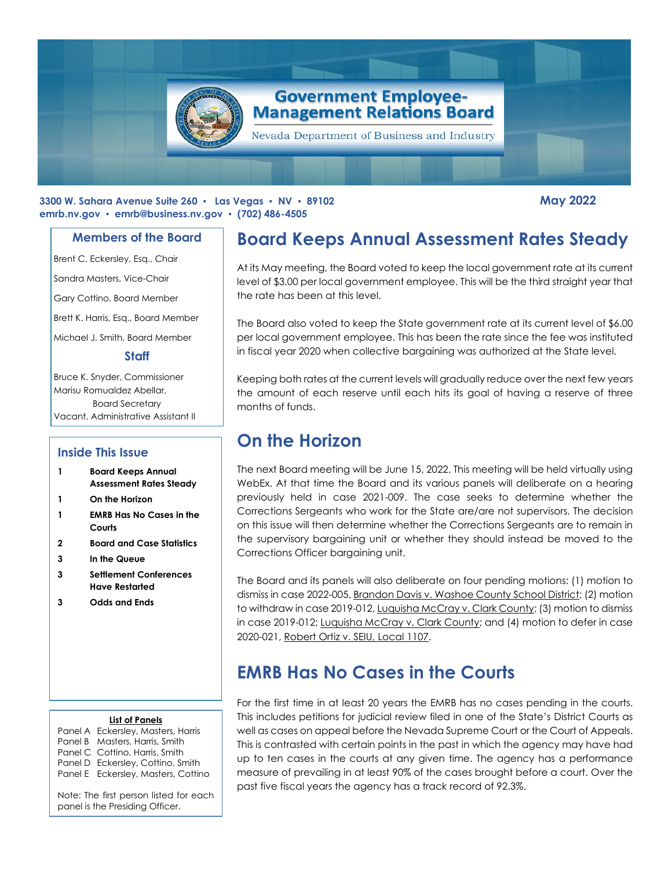

#### **3300 W. Sahara Avenue Suite 260 ▪ Las Vegas ▪ NV ▪ 89102 May 2022 emrb.nv.gov ▪ [emrb@business.nv.gov](mailto:emrb@business.nv.gov) ▪ (702) 486-4505**

#### **Members of the Board**

Brent C. Eckersley, Esq., Chair

Sandra Masters, Vice-Chair

Gary Cottino, Board Member

Brett K. Harris, Esq., Board Member

Michael J. Smith, Board Member

#### **Staff**

Bruce K. Snyder, Commissioner Marisu Romualdez Abellar, Board Secretary Vacant, Administrative Assistant II

#### **Inside This Issue**

- **1 Board Keeps Annual Assessment Rates Steady**
- **1 On the Horizon**
- **1 EMRB Has No Cases in the Courts**
- **2 Board and Case Statistics**
- **3 In the Queue**
- **3 Settlement Conferences Have Restarted**
- **3 Odds and Ends**

#### **List of Panels**

Panel A Eckersley, Masters, Harris Panel B Masters, Harris, Smith Panel C Cottino, Harris, Smith Panel D Eckersley, Cottino, Smith Panel E Eckersley, Masters, Cottino

Note: The first person listed for each panel is the Presiding Officer.

# **Board Keeps Annual Assessment Rates Steady**

At its May meeting, the Board voted to keep the local government rate at its current level of \$3.00 per local government employee. This will be the third straight year that the rate has been at this level.

The Board also voted to keep the State government rate at its current level of \$6.00 per local government employee. This has been the rate since the fee was instituted in fiscal year 2020 when collective bargaining was authorized at the State level.

Keeping both rates at the current levels will gradually reduce over the next few years the amount of each reserve until each hits its goal of having a reserve of three months of funds.

# **On the Horizon**

The next Board meeting will be June 15, 2022. This meeting will be held virtually using WebEx. At that time the Board and its various panels will deliberate on a hearing previously held in case 2021-009. The case seeks to determine whether the Corrections Sergeants who work for the State are/are not supervisors. The decision on this issue will then determine whether the Corrections Sergeants are to remain in the supervisory bargaining unit or whether they should instead be moved to the Corrections Officer bargaining unit.

The Board and its panels will also deliberate on four pending motions: (1) motion to dismiss in case 2022-005, Brandon Davis v. Washoe County School District; (2) motion to withdraw in case 2019-012, Luquisha McCray v. Clark County; (3) motion to dismiss in case 2019-012; Luquisha McCray v. Clark County; and (4) motion to defer in case 2020-021, Robert Ortiz v. SEIU, Local 1107.

# **EMRB Has No Cases in the Courts**

For the first time in at least 20 years the EMRB has no cases pending in the courts. This includes petitions for judicial review filed in one of the State's District Courts as well as cases on appeal before the Nevada Supreme Court or the Court of Appeals. This is contrasted with certain points in the past in which the agency may have had up to ten cases in the courts at any given time. The agency has a performance measure of prevailing in at least 90% of the cases brought before a court. Over the past five fiscal years the agency has a track record of 92.3%.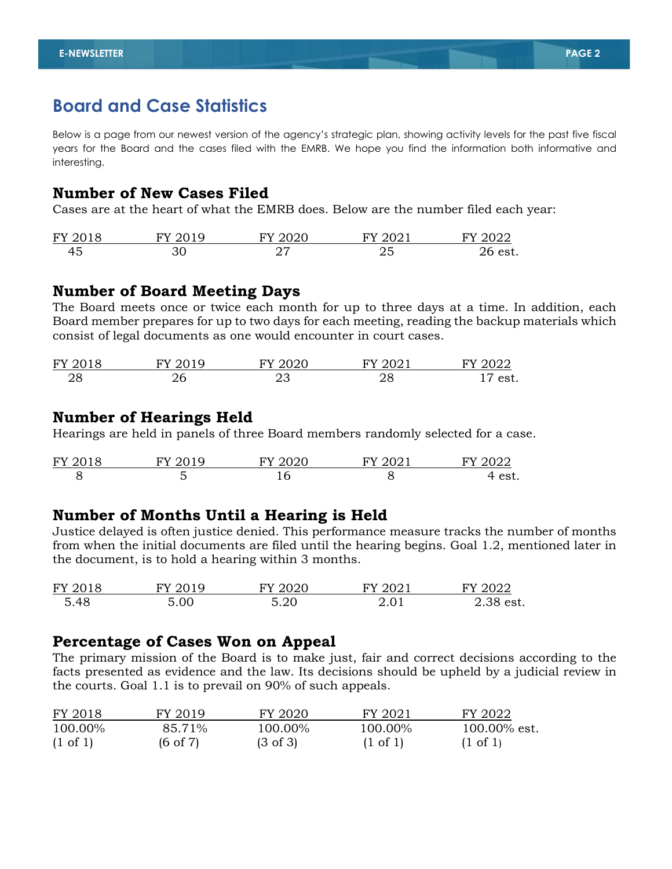## **Board and Case Statistics**

Below is a page from our newest version of the agency's strategic plan, showing activity levels for the past five fiscal years for the Board and the cases filed with the EMRB. We hope you find the information both informative and interesting.

### **Number of New Cases Filed**

Cases are at the heart of what the EMRB does. Below are the number filed each year:

| FY 2018 | <b>FV 2019</b> | FY 2020 | FY 2021 | FY 2022 |
|---------|----------------|---------|---------|---------|
| 45      |                |         | ∠آ      | 26 est. |

## **Number of Board Meeting Days**

The Board meets once or twice each month for up to three days at a time. In addition, each Board member prepares for up to two days for each meeting, reading the backup materials which consist of legal documents as one would encounter in court cases.

| FY 2018 | $FY$ 2019 | TY 2020 | FY 2021  | 2022<br>FY |
|---------|-----------|---------|----------|------------|
| 28      | ، د       | ب ک     | סר<br>40 | est.       |

### **Number of Hearings Held**

Hearings are held in panels of three Board members randomly selected for a case.

| FY 2018 | 2020     | <b>FV 2021</b> | 2022                |
|---------|----------|----------------|---------------------|
|         | <b>.</b> |                | $A^{\alpha}$<br>しいし |

## **Number of Months Until a Hearing is Held**

Justice delayed is often justice denied. This performance measure tracks the number of months from when the initial documents are filed until the hearing begins. Goal 1.2, mentioned later in the document, is to hold a hearing within 3 months.

| FY 2018 | FY 2019 | FY 2020 | FY 2021 | FY 2022   |
|---------|---------|---------|---------|-----------|
| 5.48    | 5.00    | 5.20    | 2.01    | 2.38 est. |

### **Percentage of Cases Won on Appeal**

The primary mission of the Board is to make just, fair and correct decisions according to the facts presented as evidence and the law. Its decisions should be upheld by a judicial review in the courts. Goal 1.1 is to prevail on 90% of such appeals.

| FY 2018             | FY 2019             | FY 2020             | FY 2021             | FY 2022             |
|---------------------|---------------------|---------------------|---------------------|---------------------|
| 100.00%             | 85.71%              | 100.00%             | 100.00%             | $100.00\%$ est.     |
| $(1 \text{ of } 1)$ | $(6 \text{ of } 7)$ | $(3 \text{ of } 3)$ | $(1 \text{ of } 1)$ | $(1 \text{ of } 1)$ |